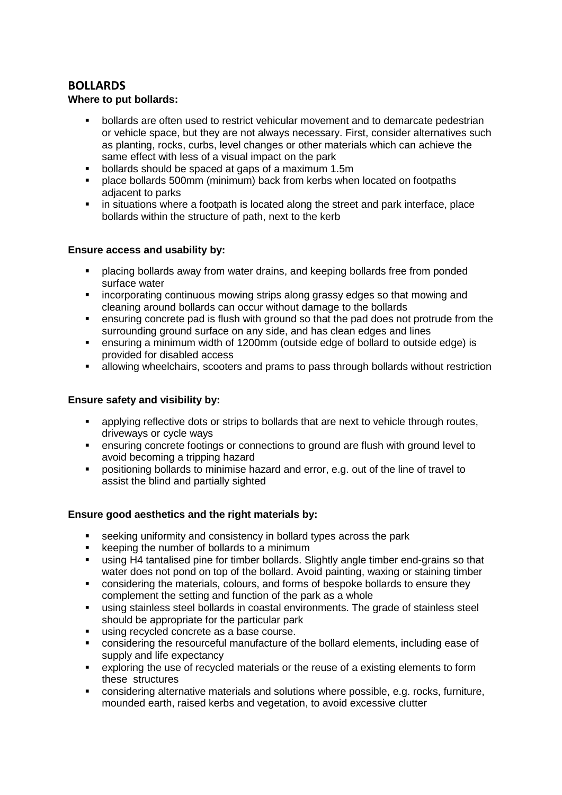# **BOLLARDS**

### **Where to put bollards:**

- bollards are often used to restrict vehicular movement and to demarcate pedestrian or vehicle space, but they are not always necessary. First, consider alternatives such as planting, rocks, curbs, level changes or other materials which can achieve the same effect with less of a visual impact on the park
- bollards should be spaced at gaps of a maximum 1.5m<br>Indece bollards 500mm (minimum) back from kerbs when
- place bollards 500mm (minimum) back from kerbs when located on footpaths adjacent to parks
- **in situations where a footpath is located along the street and park interface, place** bollards within the structure of path, next to the kerb

#### **Ensure access and usability by:**

- placing bollards away from water drains, and keeping bollards free from ponded surface water
- incorporating continuous mowing strips along grassy edges so that mowing and cleaning around bollards can occur without damage to the bollards
- ensuring concrete pad is flush with ground so that the pad does not protrude from the surrounding ground surface on any side, and has clean edges and lines
- ensuring a minimum width of 1200mm (outside edge of bollard to outside edge) is provided for disabled access
- allowing wheelchairs, scooters and prams to pass through bollards without restriction

### **Ensure safety and visibility by:**

- applying reflective dots or strips to bollards that are next to vehicle through routes, driveways or cycle ways
- ensuring concrete footings or connections to ground are flush with ground level to avoid becoming a tripping hazard
- positioning bollards to minimise hazard and error, e.g. out of the line of travel to assist the blind and partially sighted

#### **Ensure good aesthetics and the right materials by:**

- seeking uniformity and consistency in bollard types across the park<br>Later keeping the number of bollards to a minimum
- keeping the number of bollards to a minimum
- using H4 tantalised pine for timber bollards. Slightly angle timber end-grains so that water does not pond on top of the bollard. Avoid painting, waxing or staining timber
- considering the materials, colours, and forms of bespoke bollards to ensure they complement the setting and function of the park as a whole
- using stainless steel bollards in coastal environments. The grade of stainless steel should be appropriate for the particular park
- using recycled concrete as a base course.
- considering the resourceful manufacture of the bollard elements, including ease of supply and life expectancy
- exploring the use of recycled materials or the reuse of a existing elements to form these structures
- considering alternative materials and solutions where possible, e.g. rocks, furniture, mounded earth, raised kerbs and vegetation, to avoid excessive clutter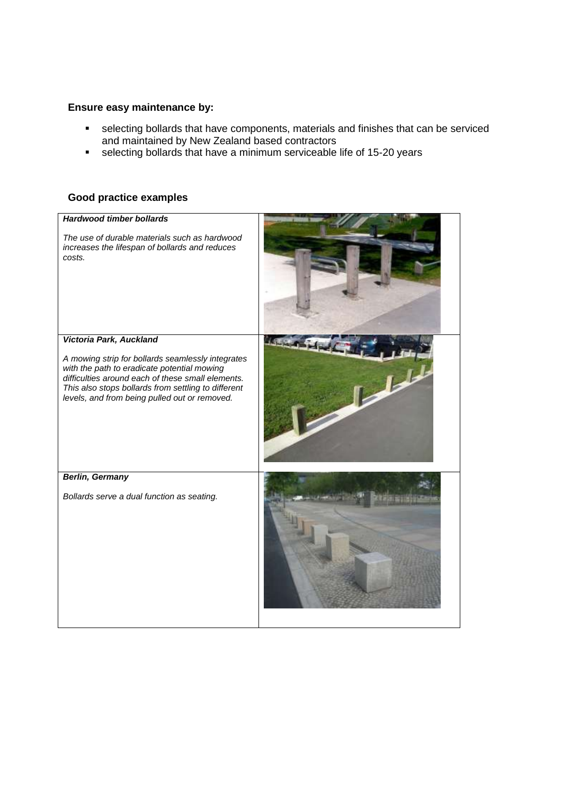### **Ensure easy maintenance by:**

- selecting bollards that have components, materials and finishes that can be serviced and maintained by New Zealand based contractors
- selecting bollards that have a minimum serviceable life of 15-20 years

## **Good practice examples**

| <b>Hardwood timber bollards</b><br>The use of durable materials such as hardwood<br>increases the lifespan of bollards and reduces<br>costs.                                                                                                                                             |                |
|------------------------------------------------------------------------------------------------------------------------------------------------------------------------------------------------------------------------------------------------------------------------------------------|----------------|
| Victoria Park, Auckland<br>A mowing strip for bollards seamlessly integrates<br>with the path to eradicate potential mowing<br>difficulties around each of these small elements.<br>This also stops bollards from settling to different<br>levels, and from being pulled out or removed. | $\mathbb{R}^l$ |
| <b>Berlin, Germany</b><br>Bollards serve a dual function as seating.                                                                                                                                                                                                                     |                |